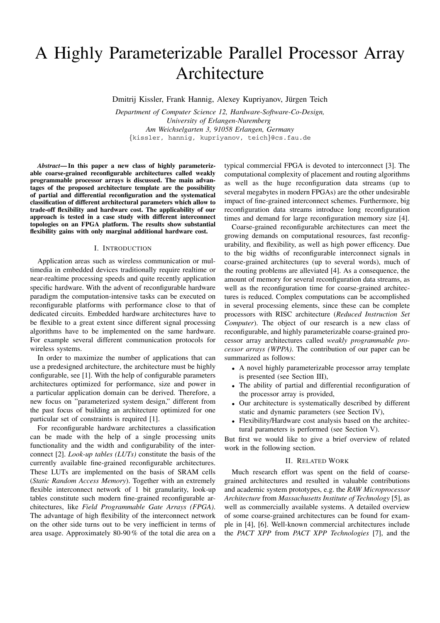# A Highly Parameterizable Parallel Processor Array Architecture

Dmitrij Kissler, Frank Hannig, Alexey Kupriyanov, Jürgen Teich

*Department of Computer Science 12, Hardware-Software-Co-Design, University of Erlangen-Nuremberg Am Weichselgarten 3, 91058 Erlangen, Germany* {kissler, hannig, kupriyanov, teich}@cs.fau.de

*Abstract***— In this paper a new class of highly parameterizable coarse-grained reconfigurable architectures called weakly programmable processor arrays is discussed. The main advantages of the proposed architecture template are the possibility of partial and differential reconfiguration and the systematical classification of different architectural parameters which allow to trade-off flexibility and hardware cost. The applicability of our approach is tested in a case study with different interconnect topologies on an FPGA platform. The results show substantial flexibility gains with only marginal additional hardware cost.**

### I. INTRODUCTION

Application areas such as wireless communication or multimedia in embedded devices traditionally require realtime or near-realtime processing speeds and quite recently application specific hardware. With the advent of reconfigurable hardware paradigm the computation-intensive tasks can be executed on reconfigurable platforms with performance close to that of dedicated circuits. Embedded hardware architectures have to be flexible to a great extent since different signal processing algorithms have to be implemented on the same hardware. For example several different communication protocols for wireless systems.

In order to maximize the number of applications that can use a predesigned architecture, the architecture must be highly configurable, see [1]. With the help of configurable parameters architectures optimized for performance, size and power in a particular application domain can be derived. Therefore, a new focus on "parameterized system design," different from the past focus of building an architecture optimized for one particular set of constraints is required [1].

For reconfigurable hardware architectures a classification can be made with the help of a single processing units functionality and the width and configurability of the interconnect [2]. *Look-up tables (LUTs)* constitute the basis of the currently available fine-grained reconfigurable architectures. These LUTs are implemented on the basis of SRAM cells (*Static Random Access Memory*). Together with an extremely flexible interconnect network of 1 bit granularity, look-up tables constitute such modern fine-grained reconfigurable architectures, like *Field Programmable Gate Arrays (FPGA)*. The advantage of high flexibility of the interconnect network on the other side turns out to be very inefficient in terms of area usage. Approximately 80-90 % of the total die area on a

typical commercial FPGA is devoted to interconnect [3]. The computational complexity of placement and routing algorithms as well as the huge reconfiguration data streams (up to several megabytes in modern FPGAs) are the other undesirable impact of fine-grained interconnect schemes. Furthermore, big reconfiguration data streams introduce long reconfiguration times and demand for large reconfiguration memory size [4].

Coarse-grained reconfigurable architectures can meet the growing demands on computational resources, fast reconfigurability, and flexibility, as well as high power efficency. Due to the big widths of reconfigurable interconnect signals in coarse-grained architectures (up to several words), much of the routing problems are alleviated [4]. As a consequence, the amount of memory for several reconfiguration data streams, as well as the reconfiguration time for coarse-grained architectures is reduced. Complex computations can be accomplished in several processing elements, since these can be complete processors with RISC architecture (*Reduced Instruction Set Computer*). The object of our research is a new class of reconfigurable, and highly parameterizable coarse-grained processor array architectures called *weakly programmable processor arrays (WPPA)*. The contribution of our paper can be summarized as follows:

- A novel highly parameterizable processor array template is presented (see Section III),
- The ability of partial and differential reconfiguration of the processor array is provided,
- Our architecture is systematically described by different static and dynamic parameters (see Section IV),
- Flexibility/Hardware cost analysis based on the architectural parameters is performed (see Section V).

But first we would like to give a brief overview of related work in the following section.

## II. RELATED WORK

Much research effort was spent on the field of coarsegrained architectures and resulted in valuable contributions and academic system prototypes, e.g. the *RAW Microprocessor Architecture* from *Massachusetts Institute of Technology* [5], as well as commercially available systems. A detailed overview of some coarse-grained architectures can be found for example in [4], [6]. Well-known commercial architectures include the *PACT XPP* from *PACT XPP Technologies* [7], and the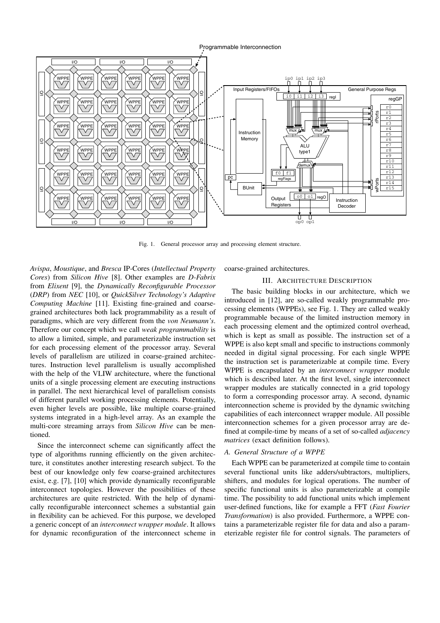



Fig. 1. General processor array and processing element structure.

*Avispa*, *Moustique*, and *Bresca* IP-Cores (*Intellectual Property Cores*) from *Silicon Hive* [8]. Other examples are *D-Fabrix* from *Elixent* [9], the *Dynamically Reconfigurable Processor* (*DRP*) from *NEC* [10], or *QuickSilver Technology's Adaptive Computing Machine* [11]. Existing fine-grained and coarsegrained architectures both lack programmability as a result of paradigms, which are very different from the *von Neumann's*. Therefore our concept which we call *weak programmability* is to allow a limited, simple, and parameterizable instruction set for each processing element of the processor array. Several levels of parallelism are utilized in coarse-grained architectures. Instruction level parallelism is usually accomplished with the help of the VLIW architecture, where the functional units of a single processing element are executing instructions in parallel. The next hierarchical level of parallelism consists of different parallel working processing elements. Potentially, even higher levels are possible, like multiple coarse-grained systems integrated in a high-level array. As an example the multi-core streaming arrays from *Silicon Hive* can be mentioned.

Since the interconnect scheme can significantly affect the type of algorithms running efficiently on the given architecture, it constitutes another interesting research subject. To the best of our knowledge only few coarse-grained architectures exist, e.g. [7], [10] which provide dynamically reconfigurable interconnect topologies. However the possibilities of these architectures are quite restricted. With the help of dynamically reconfigurable interconnect schemes a substantial gain in flexibility can be achieved. For this purpose, we developed a generic concept of an *interconnect wrapper module*. It allows for dynamic reconfiguration of the interconnect scheme in

coarse-grained architectures.

# III. ARCHITECTURE DESCRIPTION

The basic building blocks in our architecture, which we introduced in [12], are so-called weakly programmable processing elements (WPPEs), see Fig. 1. They are called weakly programmable because of the limited instruction memory in each processing element and the optimized control overhead, which is kept as small as possible. The instruction set of a WPPE is also kept small and specific to instructions commonly needed in digital signal processing. For each single WPPE the instruction set is parameterizable at compile time. Every WPPE is encapsulated by an *interconnect wrapper* module which is described later. At the first level, single interconnect wrapper modules are statically connected in a grid topology to form a corresponding processor array. A second, dynamic interconnection scheme is provided by the dynamic switching capabilities of each interconnect wrapper module. All possible interconnection schemes for a given processor array are defined at compile-time by means of a set of so-called *adjacency matrices* (exact definition follows).

# *A. General Structure of a WPPE*

Each WPPE can be parameterized at compile time to contain several functional units like adders/subtractors, multipliers, shifters, and modules for logical operations. The number of specific functional units is also parameterizable at compile time. The possibility to add functional units which implement user-defined functions, like for example a FFT (*Fast Fourier Transformation*) is also provided. Furthermore, a WPPE contains a parameterizable register file for data and also a parameterizable register file for control signals. The parameters of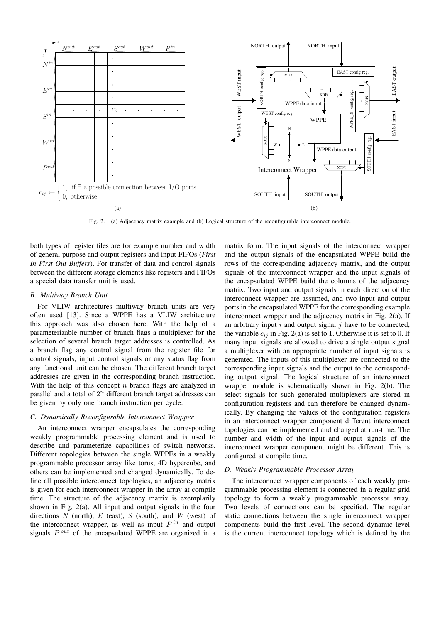

Fig. 2. (a) Adjacency matrix example and (b) Logical structure of the reconfigurable interconnect module.

both types of register files are for example number and width of general purpose and output registers and input FIFOs (*First In First Out Buffers*). For transfer of data and control signals between the different storage elements like registers and FIFOs a special data transfer unit is used.

# *B. Multiway Branch Unit*

For VLIW architectures multiway branch units are very often used [13]. Since a WPPE has a VLIW architecture this approach was also chosen here. With the help of a parameterizable number of branch flags a multiplexer for the selection of several branch target addresses is controlled. As a branch flag any control signal from the register file for control signals, input control signals or any status flag from any functional unit can be chosen. The different branch target addresses are given in the corresponding branch instruction. With the help of this concept  $n$  branch flags are analyzed in parallel and a total of  $2<sup>n</sup>$  different branch target addresses can be given by only one branch instruction per cycle.

# *C. Dynamically Reconfigurable Interconnect Wrapper*

An interconnect wrapper encapsulates the corresponding weakly programmable processing element and is used to describe and parameterize capabilities of switch networks. Different topologies between the single WPPEs in a weakly programmable processor array like torus, 4D hypercube, and others can be implemented and changed dynamically. To define all possible interconnect topologies, an adjacency matrix is given for each interconnect wrapper in the array at compile time. The structure of the adjacency matrix is exemplarily shown in Fig. 2(a). All input and output signals in the four directions *N* (north), *E* (east), *S* (south), and *W* (west) of the interconnect wrapper, as well as input  $P^{in}$  and output signals  $P^{out}$  of the encapsulated WPPE are organized in a

matrix form. The input signals of the interconnect wrapper and the output signals of the encapsulated WPPE build the rows of the corresponding adjacency matrix, and the output signals of the interconnect wrapper and the input signals of the encapsulated WPPE build the columns of the adjacency matrix. Two input and output signals in each direction of the interconnect wrapper are assumed, and two input and output ports in the encapsulated WPPE for the corresponding example interconnect wrapper and the adjacency matrix in Fig. 2(a). If an arbitrary input  $i$  and output signal  $j$  have to be connected, the variable  $c_{ij}$  in Fig. 2(a) is set to 1. Otherwise it is set to 0. If many input signals are allowed to drive a single output signal a multiplexer with an appropriate number of input signals is generated. The inputs of this multiplexer are connected to the corresponding input signals and the output to the corresponding output signal. The logical structure of an interconnect wrapper module is schematically shown in Fig. 2(b). The select signals for such generated multiplexers are stored in configuration registers and can therefore be changed dynamically. By changing the values of the configuration registers in an interconnect wrapper component different interconnect topologies can be implemented and changed at run-time. The number and width of the input and output signals of the interconnect wrapper component might be different. This is configured at compile time.

# *D. Weakly Programmable Processor Array*

The interconnect wrapper components of each weakly programmable processing element is connected in a regular grid topology to form a weakly programmable processor array. Two levels of connections can be specified. The regular static connections between the single interconnect wrapper components build the first level. The second dynamic level is the current interconnect topology which is defined by the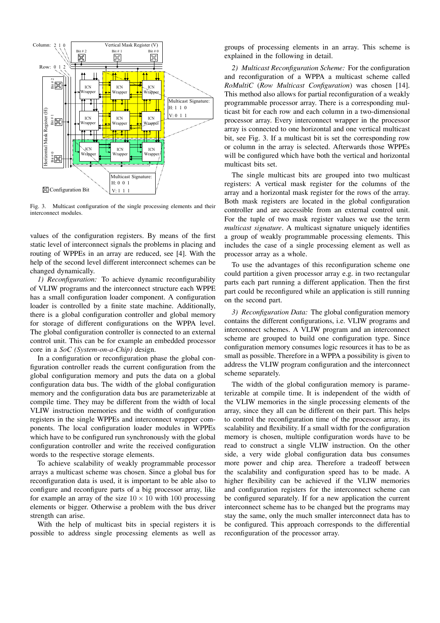

Fig. 3. Multicast configuration of the single processing elements and their interconnect modules.

values of the configuration registers. By means of the first static level of interconnect signals the problems in placing and routing of WPPEs in an array are reduced, see [4]. With the help of the second level different interconnect schemes can be changed dynamically.

*1) Reconfiguration:* To achieve dynamic reconfigurability of VLIW programs and the interconnect structure each WPPE has a small configuration loader component. A configuration loader is controlled by a finite state machine. Additionally, there is a global configuration controller and global memory for storage of different configurations on the WPPA level. The global configuration controller is connected to an external control unit. This can be for example an embedded processor core in a *SoC (System-on-a-Chip)* design.

In a configuration or reconfiguration phase the global configuration controller reads the current configuration from the global configuration memory and puts the data on a global configuration data bus. The width of the global configuration memory and the configuration data bus are parameterizable at compile time. They may be different from the width of local VLIW instruction memories and the width of configuration registers in the single WPPEs and interconnect wrapper components. The local configuration loader modules in WPPEs which have to be configured run synchronously with the global configuration controller and write the received configuration words to the respective storage elements.

To achieve scalability of weakly programmable processor arrays a multicast scheme was chosen. Since a global bus for reconfiguration data is used, it is important to be able also to configure and reconfigure parts of a big processor array, like for example an array of the size  $10 \times 10$  with 100 processing elements or bigger. Otherwise a problem with the bus driver strength can arise.

With the help of multicast bits in special registers it is possible to address single processing elements as well as

groups of processing elements in an array. This scheme is explained in the following in detail.

*2) Multicast Reconfiguration Scheme:* For the configuration and reconfiguration of a WPPA a multicast scheme called *RoMultiC* (*Row Multicast Configuration*) was chosen [14]. This method also allows for partial reconfiguration of a weakly programmable processor array. There is a corresponding multicast bit for each row and each column in a two-dimensional processor array. Every interconnect wrapper in the processor array is connected to one horizontal and one vertical multicast bit, see Fig. 3. If a multicast bit is set the corresponding row or column in the array is selected. Afterwards those WPPEs will be configured which have both the vertical and horizontal multicast bits set.

The single multicast bits are grouped into two multicast registers: A vertical mask register for the columns of the array and a horizontal mask register for the rows of the array. Both mask registers are located in the global configuration controller and are accessible from an external control unit. For the tuple of two mask register values we use the term *multicast signature*. A multicast signature uniquely identifies a group of weakly programmable processing elements. This includes the case of a single processing element as well as processor array as a whole.

To use the advantages of this reconfiguration scheme one could partition a given processor array e.g. in two rectangular parts each part running a different application. Then the first part could be reconfigured while an application is still running on the second part.

*3) Reconfiguration Data:* The global configuration memory contains the different configurations, i.e. VLIW programs and interconnect schemes. A VLIW program and an interconnect scheme are grouped to build one configuration type. Since configuration memory consumes logic resources it has to be as small as possible. Therefore in a WPPA a possibility is given to address the VLIW program configuration and the interconnect scheme separately.

The width of the global configuration memory is parameterizable at compile time. It is independent of the width of the VLIW memories in the single processing elements of the array, since they all can be different on their part. This helps to control the reconfiguration time of the processor array, its scalability and flexibility. If a small width for the configuration memory is chosen, multiple configuration words have to be read to construct a single VLIW instruction. On the other side, a very wide global configuration data bus consumes more power and chip area. Therefore a tradeoff between the scalability and configuration speed has to be made. A higher flexibility can be achieved if the VLIW memories and configuration registers for the interconnect scheme can be configured separately. If for a new application the current interconnect scheme has to be changed but the programs may stay the same, only the much smaller interconnect data has to be configured. This approach corresponds to the differential reconfiguration of the processor array.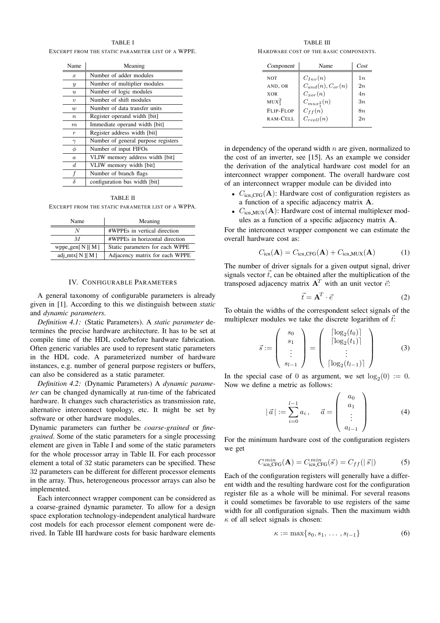## TABLE I

EXCERPT FROM THE STATIC PARAMETER LIST OF A WPPE.

| Name                | Meaning                             |
|---------------------|-------------------------------------|
| $\boldsymbol{x}$    | Number of adder modules             |
| $\overline{y}$      | Number of multiplier modules        |
| $\boldsymbol{u}$    | Number of logic modules             |
| $\boldsymbol{\eta}$ | Number of shift modules             |
| $\boldsymbol{w}$    | Number of data transfer units       |
| $\boldsymbol{n}$    | Register operand width [bit]        |
| $_{m}$              | Immediate operand width [bit]       |
| $\boldsymbol{r}$    | Register address width [bit]        |
| $\gamma$            | Number of general purpose registers |
| φ                   | Number of input FIFOs               |
| $\alpha$            | VLIW memory address width [bit]     |
| $_{d}$              | VLIW memory width [bit]             |
| f                   | Number of branch flags              |
| δ                   | configuration bus width [bit]       |

#### TABLE II

EXCERPT FROM THE STATIC PARAMETER LIST OF A WPPA.

| Name                  | Meaning                         |  |
|-----------------------|---------------------------------|--|
| N                     | #WPPEs in vertical direction    |  |
| M                     | #WPPEs in horizontal direction  |  |
| wppe_gen $[N][M]$     | Static parameters for each WPPE |  |
| adj_mtx[ $N$ ][ $M$ ] | Adjacency matrix for each WPPE  |  |

## IV. CONFIGURABLE PARAMETERS

A general taxonomy of configurable parameters is already given in [1]. According to this we distinguish between *static* and *dynamic parameters*.

*Definition 4.1:* (Static Parameters). A *static parameter* determines the precise hardware architecture. It has to be set at compile time of the HDL code/before hardware fabrication. Often generic variables are used to represent static parameters in the HDL code. A parameterized number of hardware instances, e.g. number of general purpose registers or buffers, can also be considered as a static parameter.

*Definition 4.2:* (Dynamic Parameters) A *dynamic parameter* can be changed dynamically at run-time of the fabricated hardware. It changes such characteristics as transmission rate, alternative interconnect topology, etc. It might be set by software or other hardware modules.

Dynamic parameters can further be *coarse-grained* or *finegrained*. Some of the static parameters for a single processing element are given in Table I and some of the static parameters for the whole processor array in Table II. For each processor element a total of 32 static parameters can be specified. These 32 parameters can be different for different processor elements in the array. Thus, heterogeneous processor arrays can also be implemented.

Each interconnect wrapper component can be considered as a coarse-grained dynamic parameter. To allow for a design space exploration technology-independent analytical hardware cost models for each processor element component were derived. In Table III hardware costs for basic hardware elements

TABLE III HARDWARE COST OF THE BASIC COMPONENTS.

| Component                     | Name                    | Cost |
|-------------------------------|-------------------------|------|
| <b>NOT</b>                    | $C_{Inv}(n)$            | 1n   |
| AND, OR                       | $C_{and}(n), C_{or}(n)$ | 2n   |
| <b>XOR</b>                    | $C_{xor}(n)$            | 4n   |
| MUX <sub>1</sub> <sup>2</sup> | $C_{mu x_1^2}(n)$       | 3n   |
| <b>FLIP-FLOP</b>              | $C_{ff}(n)$             | 8n   |
| RAM-CELL                      | $C_{reell}(n)$          | 2n   |
|                               |                         |      |

in dependency of the operand width  $n$  are given, normalized to the cost of an inverter, see [15]. As an example we consider the derivation of the analytical hardware cost model for an interconnect wrapper component. The overall hardware cost of an interconnect wrapper module can be divided into

- $C_{\text{icn\_CFG}}(\mathbf{A})$ : Hardware cost of configuration registers as a function of a specific adjacency matrix **A**.
- $C_{\text{icn-MUX}}(\mathbf{A})$ : Hardware cost of internal multiplexer modules as a function of a specific adjacency matrix **A**.

For the interconnect wrapper component we can estimate the overall hardware cost as:

$$
C_{\text{icn}}(\mathbf{A}) = C_{\text{icn\_CFG}}(\mathbf{A}) + C_{\text{icn\_MUX}}(\mathbf{A}) \tag{1}
$$

The number of driver signals for a given output signal, driver signals vector  $\vec{t}$ , can be obtained after the multiplication of the transposed adjacency matrix  $A<sup>T</sup>$  with an unit vector  $\vec{e}$ :

$$
\vec{t} = \mathbf{A}^T \cdot \vec{e} \tag{2}
$$

To obtain the widths of the correspondent select signals of the multiplexer modules we take the discrete logarithm of  $\vec{t}$ :

$$
\vec{s} := \left(\begin{array}{c} s_0 \\ s_1 \\ \vdots \\ s_{l-1} \end{array}\right) = \left(\begin{array}{c} \lceil \log_2(t_0) \rceil \\ \lceil \log_2(t_1) \rceil \\ \vdots \\ \lceil \log_2(t_{l-1}) \rceil \end{array}\right) \tag{3}
$$

In the special case of 0 as argument, we set  $log_2(0) := 0$ . Now we define a metric as follows:

$$
|\vec{a}| := \sum_{i=0}^{l-1} a_i, \quad \vec{a} = \begin{pmatrix} a_0 \\ a_1 \\ \vdots \\ a_{l-1} \end{pmatrix}
$$
 (4)

For the minimum hardware cost of the configuration registers we get

$$
C_{\text{icn\_CFG}}^{min}(\mathbf{A}) = C_{\text{icn\_CFG}}^{min}(\vec{s}) = C_{ff}(|\vec{s}|)
$$
 (5)

Each of the configuration registers will generally have a different width and the resulting hardware cost for the configuration register file as a whole will be minimal. For several reasons it could sometimes be favorable to use registers of the same width for all configuration signals. Then the maximum width  $\kappa$  of all select signals is chosen:

$$
\kappa := \max\{s_0, s_1, \ldots, s_{l-1}\}\tag{6}
$$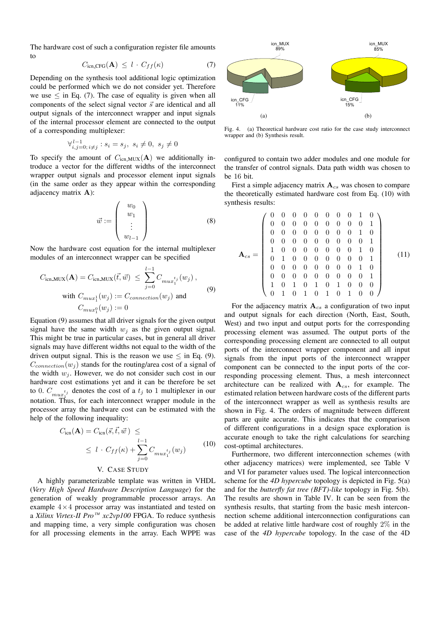The hardware cost of such a configuration register file amounts to

$$
C_{\text{icn\_CFG}}(\mathbf{A}) \le l \cdot C_{ff}(\kappa) \tag{7}
$$

Depending on the synthesis tool additional logic optimization could be performed which we do not consider yet. Therefore we use  $\leq$  in Eq. (7). The case of equality is given when all components of the select signal vector  $\vec{s}$  are identical and all output signals of the interconnect wrapper and input signals of the internal processor element are connected to the output of a corresponding multiplexer:

$$
\forall_{i,j=0,\ i\neq j}^{l-1} : s_i = s_j, \ s_i \neq 0, \ s_j \neq 0
$$

To specify the amount of  $C_{\text{icn_MUX}}(A)$  we additionally introduce a vector for the different widths of the interconnect wrapper output signals and processor element input signals (in the same order as they appear within the corresponding adjacency matrix **A**):

$$
\vec{w} := \left(\begin{array}{c} w_0 \\ w_1 \\ \vdots \\ w_{l-1} \end{array}\right) \tag{8}
$$

Now the hardware cost equation for the internal multiplexer modules of an interconnect wrapper can be specified

$$
C_{\text{icn_MUX}}(\mathbf{A}) = C_{\text{icn_MUX}}(\vec{t}, \vec{w}) \le \sum_{j=0}^{l-1} C_{mu x_1^{t_j}}(w_j),
$$
  
with  $C_{mu x_1^1}(w_j) := C_{connection}(w_j)$  and  
 $C_{mu x_1^0}(w_j) := 0$  (9)

Equation (9) assumes that all driver signals for the given output signal have the same width  $w_i$  as the given output signal. This might be true in particular cases, but in general all driver signals may have different widths not equal to the width of the driven output signal. This is the reason we use  $\leq$  in Eq. (9).  $C_{connection}(w_i)$  stands for the routing/area cost of a signal of the width  $w_i$ . However, we do not consider such cost in our hardware cost estimations yet and it can be therefore be set to 0.  $C_{mu}^{t_j}$  denotes the cost of a  $t_j$  to 1 multiplexer in our notation. Thus, for each integranged wrongs madule in the notation. Thus, for each interconnect wrapper module in the processor array the hardware cost can be estimated with the help of the following inequality:

$$
C_{\text{icn}}(\mathbf{A}) = C_{\text{icn}}(\vec{s}, \vec{t}, \vec{w}) \le
$$
  
 
$$
\leq l \cdot C_{ff}(\kappa) + \sum_{j=0}^{l-1} C_{mu x_1^{t_j}}(w_j)
$$
 (10)

# V. CASE STUDY

A highly parameterizable template was written in VHDL (*Very High Speed Hardware Description Language*) for the generation of weakly programmable processor arrays. An example  $4 \times 4$  processor array was instantiated and tested on a *Xilinx Virtex-II Pro™ xc2vp100* FPGA. To reduce synthesis and mapping time, a very simple configuration was chosen for all processing elements in the array. Each WPPE was



Fig. 4. (a) Theoretical hardware cost ratio for the case study interconnect wrapper and (b) Synthesis result.

configured to contain two adder modules and one module for the transfer of control signals. Data path width was chosen to be 16 bit.

First a simple adjacency matrix  $A_{cs}$  was chosen to compare the theoretically estimated hardware cost from Eq. (10) with synthesis results:

$$
\mathbf{A}_{cs} = \left(\begin{array}{cccccccccc} 0 & 0 & 0 & 0 & 0 & 0 & 0 & 0 & 1 & 0 \\ 0 & 0 & 0 & 0 & 0 & 0 & 0 & 0 & 0 & 1 \\ 0 & 0 & 0 & 0 & 0 & 0 & 0 & 0 & 1 & 0 \\ 0 & 0 & 0 & 0 & 0 & 0 & 0 & 0 & 0 & 1 \\ 1 & 0 & 0 & 0 & 0 & 0 & 0 & 0 & 0 & 1 \\ 0 & 1 & 0 & 0 & 0 & 0 & 0 & 0 & 0 & 1 \\ 0 & 0 & 0 & 0 & 0 & 0 & 0 & 0 & 0 & 1 \\ 1 & 0 & 1 & 0 & 1 & 0 & 1 & 0 & 0 & 0 \\ 0 & 1 & 0 & 1 & 0 & 1 & 0 & 1 & 0 & 0 \end{array} \right) (11)
$$

For the adjacency matrix  $A_{cs}$  a configuration of two input and output signals for each direction (North, East, South, West) and two input and output ports for the corresponding processing element was assumed. The output ports of the corresponding processing element are connected to all output ports of the interconnect wrapper component and all input signals from the input ports of the interconnect wrapper component can be connected to the input ports of the corresponding processing element. Thus, a mesh interconnect architecture can be realized with  $A_{cs}$ , for example. The estimated relation between hardware costs of the different parts of the interconnect wrapper as well as synthesis results are shown in Fig. 4. The orders of magnitude between different parts are quite accurate. This indicates that the comparison of different configurations in a design space exploration is accurate enough to take the right calculations for searching cost-optimal architectures.

Furthermore, two different interconnection schemes (with other adjacency matrices) were implemented, see Table V and VI for parameter values used. The logical interconnection scheme for the *4D hypercube* topology is depicted in Fig. 5(a) and for the *butterfly fat tree (BFT)-like* topology in Fig. 5(b). The results are shown in Table IV. It can be seen from the synthesis results, that starting from the basic mesh interconnection scheme additional interconnection configurations can be added at relative little hardware cost of roughly 2% in the case of the *4D hypercube* topology. In the case of the 4D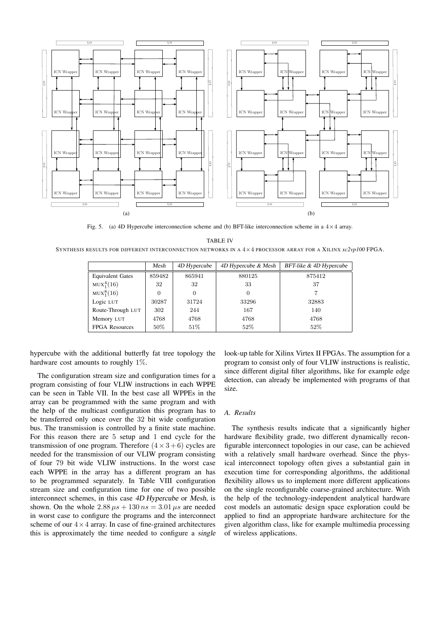

Fig. 5. (a) 4D Hypercube interconnection scheme and (b) BFT-like interconnection scheme in a  $4 \times 4$  array. TABLE IV

SYNTHESIS RESULTS FOR DIFFERENT INTERCONNECTION NETWORKS IN A 4×4 PROCESSOR ARRAY FOR A XILINX *xc2vp100* FPGA.

|                         | Mesh     | 4D Hypercube | 4D Hypercube & Mesh | BFT-like & 4D Hypercube |
|-------------------------|----------|--------------|---------------------|-------------------------|
| <b>Equivalent Gates</b> | 859482   | 865941       | 880125              | 875412                  |
| $MUX_1^4(16)$           | 32       | 32           | 33                  | 37                      |
| $MUX_1^8(16)$           | $\Omega$ | $\Omega$     |                     |                         |
| Logic LUT               | 30287    | 31724        | 33296               | 32883                   |
| Route-Through LUT       | 302      | 244          | 167                 | 140                     |
| Memory LUT              | 4768     | 4768         | 4768                | 4768                    |
| <b>FPGA Resources</b>   | $50\%$   | 51%          | 52\%                | 52%                     |

hypercube with the additional butterfly fat tree topology the hardware cost amounts to roughly 1%.

The configuration stream size and configuration times for a program consisting of four VLIW instructions in each WPPE can be seen in Table VII. In the best case all WPPEs in the array can be programmed with the same program and with the help of the multicast configuration this program has to be transferred only once over the 32 bit wide configuration bus. The transmission is controlled by a finite state machine. For this reason there are 5 setup and 1 end cycle for the transmission of one program. Therefore  $(4 \times 3 + 6)$  cycles are needed for the transmission of our VLIW program consisting of four 79 bit wide VLIW instructions. In the worst case each WPPE in the array has a different program an has to be programmed separately. In Table VIII configuration stream size and configuration time for one of two possible interconnect schemes, in this case 4D Hypercube or Mesh, is shown. On the whole  $2.88 \mu s + 130 ns = 3.01 \mu s$  are needed in worst case to configure the programs and the interconnect scheme of our  $4 \times 4$  array. In case of fine-grained architectures this is approximately the time needed to configure a single look-up table for Xilinx Virtex II FPGAs. The assumption for a program to consist only of four VLIW instructions is realistic, since different digital filter algorithms, like for example edge detection, can already be implemented with programs of that size.

## *A. Results*

The synthesis results indicate that a significantly higher hardware flexibility grade, two different dynamically reconfigurable interconnect topologies in our case, can be achieved with a relatively small hardware overhead. Since the physical interconnect topology often gives a substantial gain in execution time for corresponding algorithms, the additional flexibility allows us to implement more different applications on the single reconfigurable coarse-grained architecture. With the help of the technology-independent analytical hardware cost models an automatic design space exploration could be applied to find an appropriate hardware architecture for the given algorithm class, like for example multimedia processing of wireless applications.